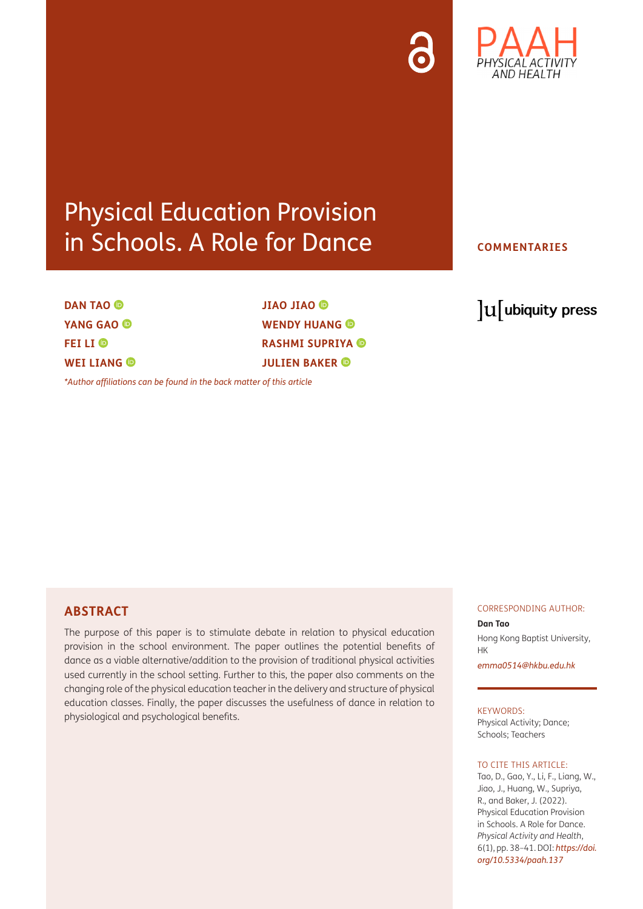

## Physical Education Provision in Schools. A Role for Dance

### **DANTAO<sup><b>** $\bullet$ </sup> **YANG GAO FEI LI WEI LIANG ©**

**JIAO JIAO WENDY HUANG @ RASHMI SUPRIYA JULIEN BAKER** 

*[\\*Author affiliations can be found in the back matter of this article](#page-3-0)*

#### **COMMENTARIES**

## lu ubiquity press

#### **ABSTRACT**

The purpose of this paper is to stimulate debate in relation to physical education provision in the school environment. The paper outlines the potential benefits of dance as a viable alternative/addition to the provision of traditional physical activities used currently in the school setting. Further to this, the paper also comments on the changing role of the physical education teacher in the delivery and structure of physical education classes. Finally, the paper discusses the usefulness of dance in relation to physiological and psychological benefits.

#### CORRESPONDING AUTHOR:

#### **Dan Tao**

Hong Kong Baptist University, HK

*[emma0514@hkbu.edu.hk](mailto:emma0514@hkbu.edu.hk)*

#### KEYWORDS:

Physical Activity; Dance; Schools; Teachers

#### TO CITE THIS ARTICLE:

Tao, D., Gao, Y., Li, F., Liang, W., Jiao, J., Huang, W., Supriya, R., and Baker, J. (2022). Physical Education Provision in Schools. A Role for Dance. *Physical Activity and Health*, 6(1), pp. 38–41. DOI: *[https://doi.](https://doi.org/10.5334/paah.137) [org/10.5334/paah.137](https://doi.org/10.5334/paah.137)*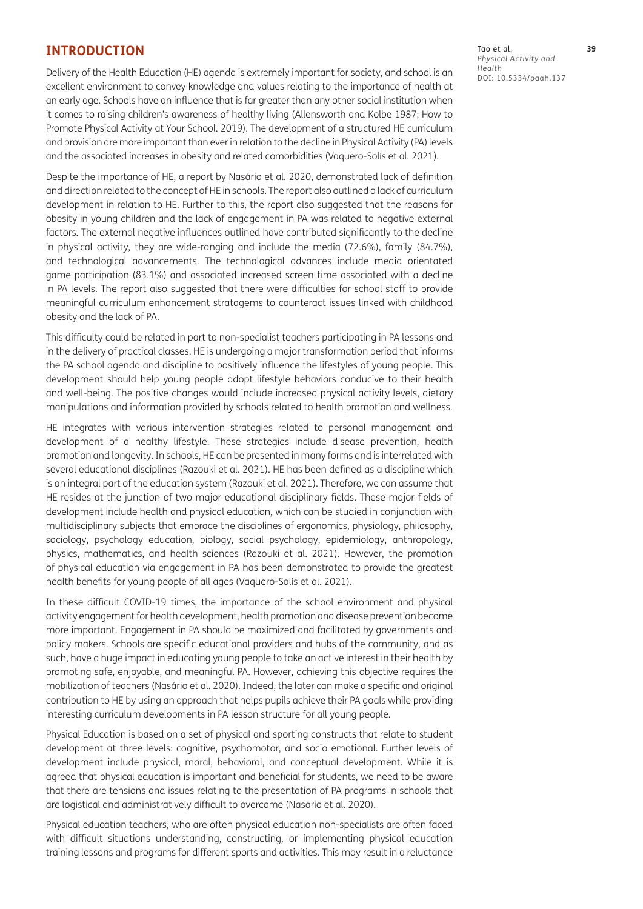#### **INTRODUCTION**

Delivery of the Health Education (HE) agenda is extremely important for society, and school is an excellent environment to convey knowledge and values relating to the importance of health at an early age. Schools have an influence that is far greater than any other social institution when it comes to raising children's awareness of healthy living [\(Allensworth and Kolbe 1987;](#page-3-1) [How to](#page-3-1)  [Promote Physical Activity at Your School. 2019\)](#page-3-1). The development of a structured HE curriculum and provision are more important than ever in relation to the decline in Physical Activity (PA) levels and the associated increases in obesity and related comorbidities [\(Vaquero-Solís et al. 2021](#page-3-1)).

Despite the importance of HE, a report by [Nasário et al. 2020](#page-3-1), demonstrated lack of definition and direction related to the concept of HE in schools. The report also outlined a lack of curriculum development in relation to HE. Further to this, the report also suggested that the reasons for obesity in young children and the lack of engagement in PA was related to negative external factors. The external negative influences outlined have contributed significantly to the decline in physical activity, they are wide-ranging and include the media (72.6%), family (84.7%), and technological advancements. The technological advances include media orientated game participation (83.1%) and associated increased screen time associated with a decline in PA levels. The report also suggested that there were difficulties for school staff to provide meaningful curriculum enhancement stratagems to counteract issues linked with childhood obesity and the lack of PA.

This difficulty could be related in part to non-specialist teachers participating in PA lessons and in the delivery of practical classes. HE is undergoing a major transformation period that informs the PA school agenda and discipline to positively influence the lifestyles of young people. This development should help young people adopt lifestyle behaviors conducive to their health and well-being. The positive changes would include increased physical activity levels, dietary manipulations and information provided by schools related to health promotion and wellness.

HE integrates with various intervention strategies related to personal management and development of a healthy lifestyle. These strategies include disease prevention, health promotion and longevity. In schools, HE can be presented in many forms and is interrelated with several educational disciplines [\(Razouki et al. 2021](#page-3-1)). HE has been defined as a discipline which is an integral part of the education system ([Razouki et al. 2021](#page-3-1)). Therefore, we can assume that HE resides at the junction of two major educational disciplinary fields. These major fields of development include health and physical education, which can be studied in conjunction with multidisciplinary subjects that embrace the disciplines of ergonomics, physiology, philosophy, sociology, psychology education, biology, social psychology, epidemiology, anthropology, physics, mathematics, and health sciences [\(Razouki et al. 2021](#page-3-1)). However, the promotion of physical education via engagement in PA has been demonstrated to provide the greatest health benefits for young people of all ages [\(Vaquero-Solís et al. 2021\)](#page-3-1).

In these difficult COVID-19 times, the importance of the school environment and physical activity engagement for health development, health promotion and disease prevention become more important. Engagement in PA should be maximized and facilitated by governments and policy makers. Schools are specific educational providers and hubs of the community, and as such, have a huge impact in educating young people to take an active interest in their health by promoting safe, enjoyable, and meaningful PA. However, achieving this objective requires the mobilization of teachers [\(Nasário et al. 2020\)](#page-3-1). Indeed, the later can make a specific and original contribution to HE by using an approach that helps pupils achieve their PA goals while providing interesting curriculum developments in PA lesson structure for all young people.

Physical Education is based on a set of physical and sporting constructs that relate to student development at three levels: cognitive, psychomotor, and socio emotional. Further levels of development include physical, moral, behavioral, and conceptual development. While it is agreed that physical education is important and beneficial for students, we need to be aware that there are tensions and issues relating to the presentation of PA programs in schools that are logistical and administratively difficult to overcome ([Nasário et al. 2020](#page-3-1)).

Physical education teachers, who are often physical education non-specialists are often faced with difficult situations understanding, constructing, or implementing physical education training lessons and programs for different sports and activities. This may result in a reluctance Tao et al. **39** *Physical Activity and Health* DOI: [10.5334/paah.137](https://doi.org/10.5334/paah.137)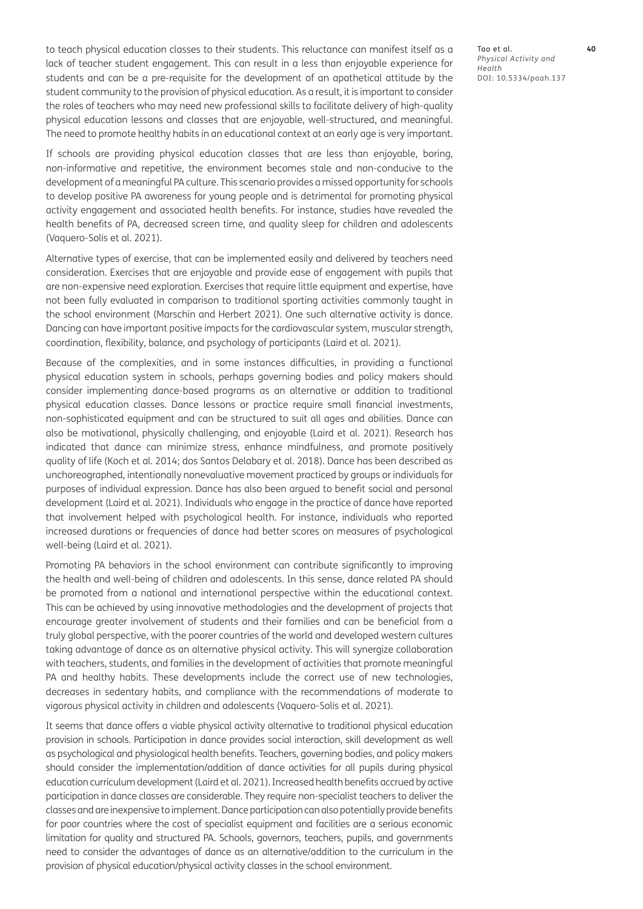to teach physical education classes to their students. This reluctance can manifest itself as a lack of teacher student engagement. This can result in a less than enjoyable experience for students and can be a pre-requisite for the development of an apathetical attitude by the student community to the provision of physical education. As a result, it is important to consider the roles of teachers who may need new professional skills to facilitate delivery of high-quality physical education lessons and classes that are enjoyable, well-structured, and meaningful. The need to promote healthy habits in an educational context at an early age is very important.

If schools are providing physical education classes that are less than enjoyable, boring, non-informative and repetitive, the environment becomes stale and non-conducive to the development of a meaningful PA culture. This scenario provides a missed opportunity for schools to develop positive PA awareness for young people and is detrimental for promoting physical activity engagement and associated health benefits. For instance, studies have revealed the health benefits of PA, decreased screen time, and quality sleep for children and adolescents [\(Vaquero-Solís et al. 2021\)](#page-3-1).

Alternative types of exercise, that can be implemented easily and delivered by teachers need consideration. Exercises that are enjoyable and provide ease of engagement with pupils that are non-expensive need exploration. Exercises that require little equipment and expertise, have not been fully evaluated in comparison to traditional sporting activities commonly taught in the school environment [\(Marschin and Herbert 2021](#page-3-1)). One such alternative activity is dance. Dancing can have important positive impacts for the cardiovascular system, muscular strength, coordination, flexibility, balance, and psychology of participants ([Laird et al. 2021](#page-3-1)).

Because of the complexities, and in some instances difficulties, in providing a functional physical education system in schools, perhaps governing bodies and policy makers should consider implementing dance-based programs as an alternative or addition to traditional physical education classes. Dance lessons or practice require small financial investments, non-sophisticated equipment and can be structured to suit all ages and abilities. Dance can also be motivational, physically challenging, and enjoyable ([Laird et al. 2021](#page-3-1)). Research has indicated that dance can minimize stress, enhance mindfulness, and promote positively quality of life ([Koch et al. 2014](#page-3-1); [dos Santos Delabary et al. 2018\)](#page-3-1). Dance has been described as unchoreographed, intentionally nonevaluative movement practiced by groups or individuals for purposes of individual expression. Dance has also been argued to benefit social and personal development ([Laird et al. 2021](#page-3-1)). Individuals who engage in the practice of dance have reported that involvement helped with psychological health. For instance, individuals who reported increased durations or frequencies of dance had better scores on measures of psychological well-being ([Laird et al. 2021\)](#page-3-1).

Promoting PA behaviors in the school environment can contribute significantly to improving the health and well-being of children and adolescents. In this sense, dance related PA should be promoted from a national and international perspective within the educational context. This can be achieved by using innovative methodologies and the development of projects that encourage greater involvement of students and their families and can be beneficial from a truly global perspective, with the poorer countries of the world and developed western cultures taking advantage of dance as an alternative physical activity. This will synergize collaboration with teachers, students, and families in the development of activities that promote meaningful PA and healthy habits. These developments include the correct use of new technologies, decreases in sedentary habits, and compliance with the recommendations of moderate to vigorous physical activity in children and adolescents [\(Vaquero-Solís et al. 2021\)](#page-3-1).

It seems that dance offers a viable physical activity alternative to traditional physical education provision in schools. Participation in dance provides social interaction, skill development as well as psychological and physiological health benefits. Teachers, governing bodies, and policy makers should consider the implementation/addition of dance activities for all pupils during physical education curriculum development [\(Laird et al. 2021](#page-3-1)). Increased health benefits accrued by active participation in dance classes are considerable. They require non-specialist teachers to deliver the classes and are inexpensive to implement. Dance participation can also potentially provide benefits for poor countries where the cost of specialist equipment and facilities are a serious economic limitation for quality and structured PA. Schools, governors, teachers, pupils, and governments need to consider the advantages of dance as an alternative/addition to the curriculum in the provision of physical education/physical activity classes in the school environment.

Tao et al. **40** *Physical Activity and Health* DOI: [10.5334/paah.137](https://doi.org/10.5334/paah.137)